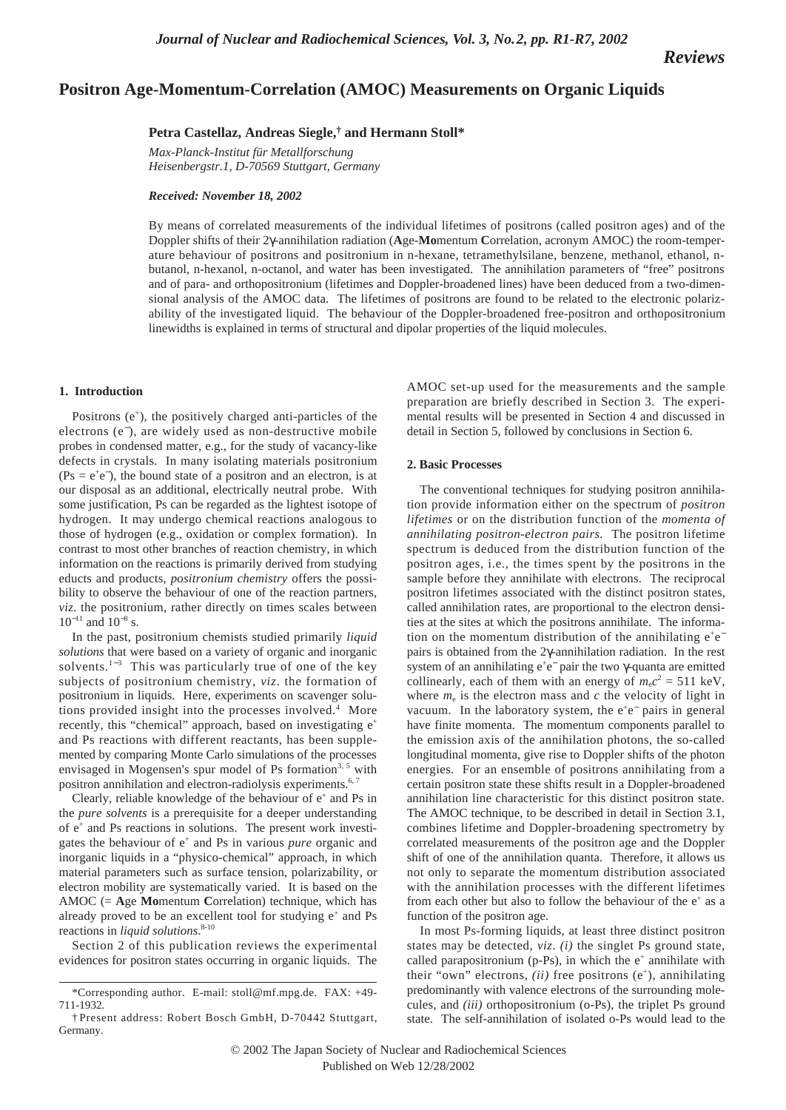*Reviews*

# **Positron Age-Momentum-Correlation (AMOC) Measurements on Organic Liquids**

# **Petra Castellaz, Andreas Siegle,† and Hermann Stoll\***

*Max-Planck-Institut für Metallforschung Heisenbergstr.1, D-70569 Stuttgart, Germany*

*Received: November 18, 2002* 

By means of correlated measurements of the individual lifetimes of positrons (called positron ages) and of the Doppler shifts of their 2γ-annihilation radiation (**A**ge-**Mo**mentum **C**orrelation, acronym AMOC) the room-temperature behaviour of positrons and positronium in n-hexane, tetramethylsilane, benzene, methanol, ethanol, nbutanol, n-hexanol, n-octanol, and water has been investigated. The annihilation parameters of "free" positrons and of para- and orthopositronium (lifetimes and Doppler-broadened lines) have been deduced from a two-dimensional analysis of the AMOC data. The lifetimes of positrons are found to be related to the electronic polarizability of the investigated liquid. The behaviour of the Doppler-broadened free-positron and orthopositronium linewidths is explained in terms of structural and dipolar properties of the liquid molecules.

# **1. Introduction**

Positrons (e<sup>+</sup>), the positively charged anti-particles of the electrons (e<sup>−</sup> ), are widely used as non-destructive mobile probes in condensed matter, e.g., for the study of vacancy-like defects in crystals. In many isolating materials positronium  $(Ps = e^+e^-)$ , the bound state of a positron and an electron, is at our disposal as an additional, electrically neutral probe. With some justification, Ps can be regarded as the lightest isotope of hydrogen. It may undergo chemical reactions analogous to those of hydrogen (e.g., oxidation or complex formation). In contrast to most other branches of reaction chemistry, in which information on the reactions is primarily derived from studying educts and products, *positronium chemistry* offers the possibility to observe the behaviour of one of the reaction partners, *viz*. the positronium, rather directly on times scales between  $10^{-11}$  and  $10^{-8}$  s.

In the past, positronium chemists studied primarily *liquid solutions* that were based on a variety of organic and inorganic solvents.<sup>1−3</sup> This was particularly true of one of the key subjects of positronium chemistry, *viz*. the formation of positronium in liquids. Here, experiments on scavenger solutions provided insight into the processes involved.<sup>4</sup> More recently, this "chemical" approach, based on investigating  $e^+$ and Ps reactions with different reactants, has been supplemented by comparing Monte Carlo simulations of the processes envisaged in Mogensen's spur model of Ps formation<sup>3, 5</sup> with positron annihilation and electron-radiolysis experiments.<sup>6,7</sup>

Clearly, reliable knowledge of the behaviour of  $e^+$  and Ps in the *pure solvents* is a prerequisite for a deeper understanding of  $e^+$  and Ps reactions in solutions. The present work investigates the behaviour of e+ and Ps in various *pure* organic and inorganic liquids in a "physico-chemical" approach, in which material parameters such as surface tension, polarizability, or electron mobility are systematically varied. It is based on the AMOC (= **A**ge **Mo**mentum **C**orrelation) technique, which has already proved to be an excellent tool for studying  $e^+$  and Ps reactions in *liquid solutions*. 8-10

Section 2 of this publication reviews the experimental evidences for positron states occurring in organic liquids. The

AMOC set-up used for the measurements and the sample preparation are briefly described in Section 3. The experimental results will be presented in Section 4 and discussed in detail in Section 5, followed by conclusions in Section 6.

### **2. Basic Processes**

The conventional techniques for studying positron annihilation provide information either on the spectrum of *positron lifetimes* or on the distribution function of the *momenta of annihilating positron-electron pairs.* The positron lifetime spectrum is deduced from the distribution function of the positron ages, i.e., the times spent by the positrons in the sample before they annihilate with electrons. The reciprocal positron lifetimes associated with the distinct positron states, called annihilation rates, are proportional to the electron densities at the sites at which the positrons annihilate. The information on the momentum distribution of the annihilating e<sup>+</sup>e<sup>−</sup> pairs is obtained from the 2γ-annihilation radiation. In the rest system of an annihilating e<sup>+</sup>e<sup>-</sup> pair the two γ-quanta are emitted collinearly, each of them with an energy of  $m_e c^2 = 511 \text{ keV}$ , where  $m_e$  is the electron mass and  $c$  the velocity of light in vacuum. In the laboratory system, the  $e^+e^-$  pairs in general have finite momenta. The momentum components parallel to the emission axis of the annihilation photons, the so-called longitudinal momenta, give rise to Doppler shifts of the photon energies. For an ensemble of positrons annihilating from a certain positron state these shifts result in a Doppler-broadened annihilation line characteristic for this distinct positron state. The AMOC technique, to be described in detail in Section 3.1, combines lifetime and Doppler-broadening spectrometry by correlated measurements of the positron age and the Doppler shift of one of the annihilation quanta. Therefore, it allows us not only to separate the momentum distribution associated with the annihilation processes with the different lifetimes from each other but also to follow the behaviour of the  $e^+$  as a function of the positron age.

In most Ps-forming liquids, at least three distinct positron states may be detected, *viz*. *(i)* the singlet Ps ground state, called parapositronium (p-Ps), in which the  $e^+$  annihilate with their "own" electrons, *(ii)* free positrons (e<sup>+</sup>), annihilating predominantly with valence electrons of the surrounding molecules, and *(iii)* orthopositronium (o-Ps), the triplet Ps ground state. The self-annihilation of isolated o-Ps would lead to the

<sup>\*</sup>Corresponding author. E-mail: stoll@mf.mpg.de. FAX: +49- 711-1932.

<sup>†</sup> Present address: Robert Bosch GmbH, D-70442 Stuttgart, Germany.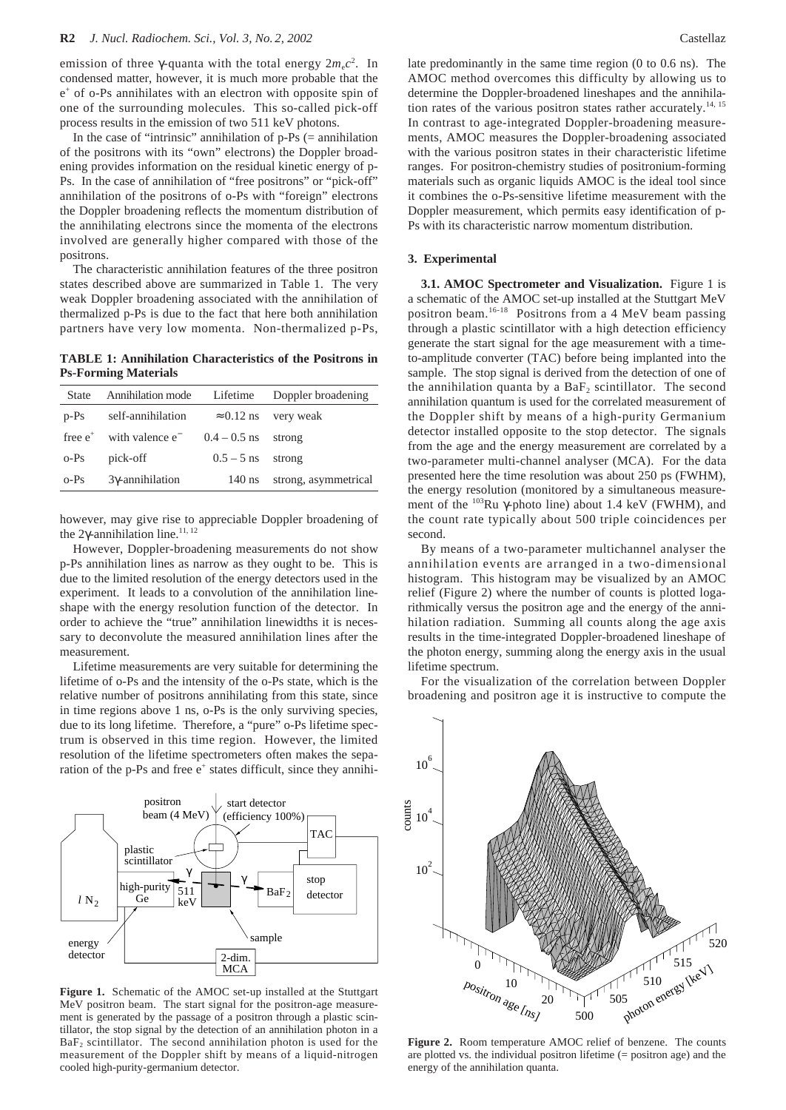emission of three  $\gamma$ -quanta with the total energy  $2m_ec^2$ . In condensed matter, however, it is much more probable that the  $e^+$  of o-Ps annihilates with an electron with opposite spin of one of the surrounding molecules. This so-called pick-off process results in the emission of two 511 keV photons.

In the case of "intrinsic" annihilation of  $p-Ps$  (= annihilation of the positrons with its "own" electrons) the Doppler broadening provides information on the residual kinetic energy of p-Ps. In the case of annihilation of "free positrons" or "pick-off" annihilation of the positrons of o-Ps with "foreign" electrons the Doppler broadening reflects the momentum distribution of the annihilating electrons since the momenta of the electrons involved are generally higher compared with those of the positrons.

The characteristic annihilation features of the three positron states described above are summarized in Table 1. The very weak Doppler broadening associated with the annihilation of thermalized p-Ps is due to the fact that here both annihilation partners have very low momenta. Non-thermalized p-Ps,

**TABLE 1: Annihilation Characteristics of the Positrons in Ps-Forming Materials**

| <b>State</b> | Annihilation mode           | Lifetime          | Doppler broadening   |
|--------------|-----------------------------|-------------------|----------------------|
| $p-Ps$       | self-annihilation           | $\approx 0.12$ ns | very weak            |
| free $e^+$   | with valence e <sup>-</sup> | $0.4 - 0.5$ ns    | strong               |
| $o-Ps$       | pick-off                    | $0.5 - 5$ ns      | strong               |
| $o-Ps$       | $3\gamma$ -annihilation     | $140$ ns          | strong, asymmetrical |

however, may give rise to appreciable Doppler broadening of the 2γ-annihilation line.<sup>11, 12</sup>

However, Doppler-broadening measurements do not show p-Ps annihilation lines as narrow as they ought to be. This is due to the limited resolution of the energy detectors used in the experiment. It leads to a convolution of the annihilation lineshape with the energy resolution function of the detector. In order to achieve the "true" annihilation linewidths it is necessary to deconvolute the measured annihilation lines after the measurement.

Lifetime measurements are very suitable for determining the lifetime of o-Ps and the intensity of the o-Ps state, which is the relative number of positrons annihilating from this state, since in time regions above 1 ns, o-Ps is the only surviving species, due to its long lifetime. Therefore, a "pure" o-Ps lifetime spectrum is observed in this time region. However, the limited resolution of the lifetime spectrometers often makes the separation of the p-Ps and free  $e^+$  states difficult, since they annihi-



**Figure 1.** Schematic of the AMOC set-up installed at the Stuttgart MeV positron beam. The start signal for the positron-age measurement is generated by the passage of a positron through a plastic scintillator, the stop signal by the detection of an annihilation photon in a  $BaF<sub>2</sub>$  scintillator. The second annihilation photon is used for the measurement of the Doppler shift by means of a liquid-nitrogen cooled high-purity-germanium detector.

late predominantly in the same time region (0 to 0.6 ns). The AMOC method overcomes this difficulty by allowing us to determine the Doppler-broadened lineshapes and the annihilation rates of the various positron states rather accurately.<sup>14, 15</sup> In contrast to age-integrated Doppler-broadening measurements, AMOC measures the Doppler-broadening associated with the various positron states in their characteristic lifetime ranges. For positron-chemistry studies of positronium-forming materials such as organic liquids AMOC is the ideal tool since it combines the o-Ps-sensitive lifetime measurement with the Doppler measurement, which permits easy identification of p-Ps with its characteristic narrow momentum distribution.

#### **3. Experimental**

**3.1. AMOC Spectrometer and Visualization.** Figure 1 is a schematic of the AMOC set-up installed at the Stuttgart MeV positron beam.16-18 Positrons from a 4 MeV beam passing through a plastic scintillator with a high detection efficiency generate the start signal for the age measurement with a timeto-amplitude converter (TAC) before being implanted into the sample. The stop signal is derived from the detection of one of the annihilation quanta by a  $BaF<sub>2</sub>$  scintillator. The second annihilation quantum is used for the correlated measurement of the Doppler shift by means of a high-purity Germanium detector installed opposite to the stop detector. The signals from the age and the energy measurement are correlated by a two-parameter multi-channel analyser (MCA). For the data presented here the time resolution was about 250 ps (FWHM), the energy resolution (monitored by a simultaneous measurement of the 103Ru γ-photo line) about 1.4 keV (FWHM), and the count rate typically about 500 triple coincidences per second.

By means of a two-parameter multichannel analyser the annihilation events are arranged in a two-dimensional histogram. This histogram may be visualized by an AMOC relief (Figure 2) where the number of counts is plotted logarithmically versus the positron age and the energy of the annihilation radiation. Summing all counts along the age axis results in the time-integrated Doppler-broadened lineshape of the photon energy, summing along the energy axis in the usual lifetime spectrum.

For the visualization of the correlation between Doppler broadening and positron age it is instructive to compute the



**Figure 2.** Room temperature AMOC relief of benzene. The counts are plotted vs. the individual positron lifetime (= positron age) and the energy of the annihilation quanta.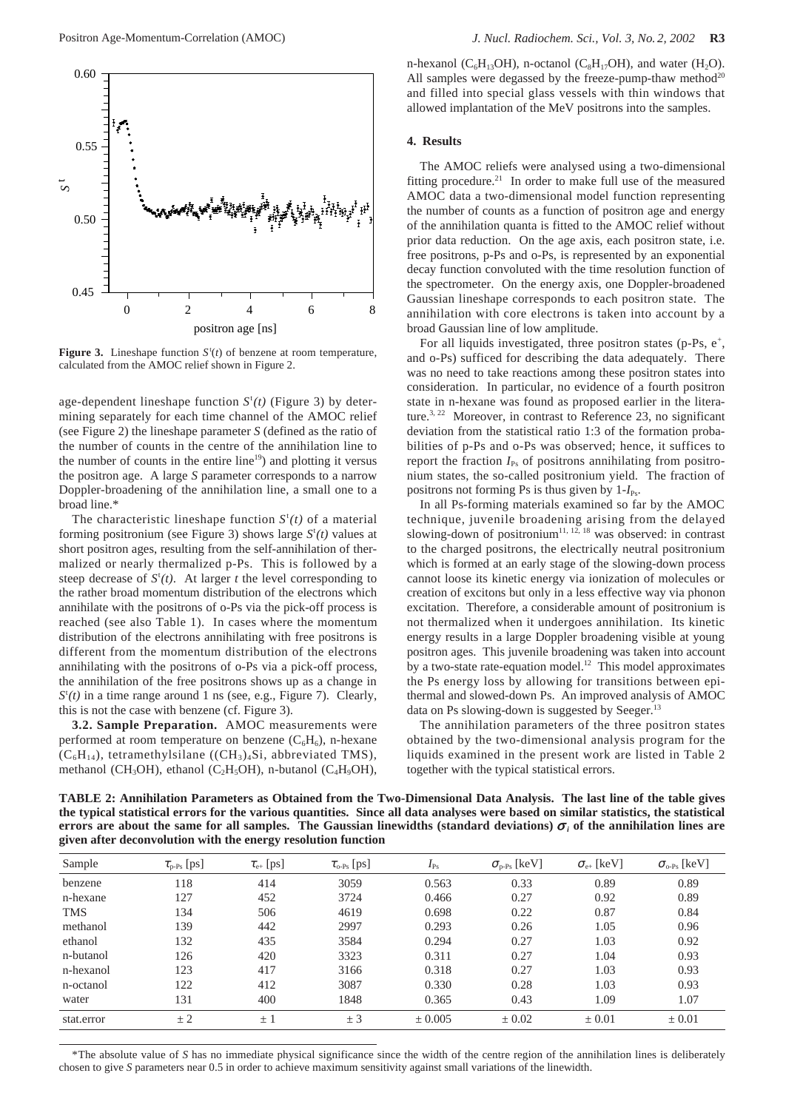

**Figure 3.** Lineshape function  $S^t(t)$  of benzene at room temperature, calculated from the AMOC relief shown in Figure 2.

age-dependent lineshape function  $S^{\dagger}(t)$  (Figure 3) by determining separately for each time channel of the AMOC relief (see Figure 2) the lineshape parameter *S* (defined as the ratio of the number of counts in the centre of the annihilation line to the number of counts in the entire line<sup>19</sup>) and plotting it versus the positron age. A large *S* parameter corresponds to a narrow Doppler-broadening of the annihilation line, a small one to a broad line.\*

The characteristic lineshape function  $S^{\text{t}}(t)$  of a material forming positronium (see Figure 3) shows large  $S<sup>t</sup>(t)$  values at short positron ages, resulting from the self-annihilation of thermalized or nearly thermalized p-Ps. This is followed by a steep decrease of  $S<sup>t</sup>(t)$ . At larger *t* the level corresponding to the rather broad momentum distribution of the electrons which annihilate with the positrons of o-Ps via the pick-off process is reached (see also Table 1). In cases where the momentum distribution of the electrons annihilating with free positrons is different from the momentum distribution of the electrons annihilating with the positrons of o-Ps via a pick-off process, the annihilation of the free positrons shows up as a change in  $S<sup>t</sup>(t)$  in a time range around 1 ns (see, e.g., Figure 7). Clearly, this is not the case with benzene (cf. Figure 3).

**3.2. Sample Preparation.** AMOC measurements were performed at room temperature on benzene  $(C_6H_6)$ , n-hexane  $(C_6H_{14})$ , tetramethylsilane  $((CH_3)_4Si,$  abbreviated TMS), methanol (CH<sub>3</sub>OH), ethanol (C<sub>2</sub>H<sub>5</sub>OH), n-butanol (C<sub>4</sub>H<sub>9</sub>OH),

n-hexanol ( $C_6H_{13}OH$ ), n-octanol ( $C_8H_{17}OH$ ), and water ( $H_2O$ ). All samples were degassed by the freeze-pump-thaw method<sup>20</sup> and filled into special glass vessels with thin windows that allowed implantation of the MeV positrons into the samples.

### **4. Results**

The AMOC reliefs were analysed using a two-dimensional fitting procedure.<sup>21</sup> In order to make full use of the measured AMOC data a two-dimensional model function representing the number of counts as a function of positron age and energy of the annihilation quanta is fitted to the AMOC relief without prior data reduction. On the age axis, each positron state, i.e. free positrons, p-Ps and o-Ps, is represented by an exponential decay function convoluted with the time resolution function of the spectrometer. On the energy axis, one Doppler-broadened Gaussian lineshape corresponds to each positron state. The annihilation with core electrons is taken into account by a broad Gaussian line of low amplitude.

For all liquids investigated, three positron states (p-Ps, e<sup>+</sup>, and o-Ps) sufficed for describing the data adequately. There was no need to take reactions among these positron states into consideration. In particular, no evidence of a fourth positron state in n-hexane was found as proposed earlier in the literature.<sup>3, 22</sup> Moreover, in contrast to Reference 23, no significant deviation from the statistical ratio 1:3 of the formation probabilities of p-Ps and o-Ps was observed; hence, it suffices to report the fraction  $I_{Ps}$  of positrons annihilating from positronium states, the so-called positronium yield. The fraction of positrons not forming Ps is thus given by  $1-I_{\text{Ps}}$ .

In all Ps-forming materials examined so far by the AMOC technique, juvenile broadening arising from the delayed slowing-down of positronium<sup>11, 12, 18</sup> was observed: in contrast to the charged positrons, the electrically neutral positronium which is formed at an early stage of the slowing-down process cannot loose its kinetic energy via ionization of molecules or creation of excitons but only in a less effective way via phonon excitation. Therefore, a considerable amount of positronium is not thermalized when it undergoes annihilation. Its kinetic energy results in a large Doppler broadening visible at young positron ages. This juvenile broadening was taken into account by a two-state rate-equation model.<sup>12</sup> This model approximates the Ps energy loss by allowing for transitions between epithermal and slowed-down Ps. An improved analysis of AMOC data on Ps slowing-down is suggested by  $Seeger<sup>1</sup>$ 

The annihilation parameters of the three positron states obtained by the two-dimensional analysis program for the liquids examined in the present work are listed in Table 2 together with the typical statistical errors.

**TABLE 2: Annihilation Parameters as Obtained from the Two-Dimensional Data Analysis. The last line of the table gives the typical statistical errors for the various quantities. Since all data analyses were based on similar statistics, the statistical errors are about the same for all samples. The Gaussian linewidths (standard deviations)**  $\sigma_i$  **of the annihilation lines are given after deconvolution with the energy resolution function**

| Sample     | $\tau_{\text{p-Ps}}$ [ps] | $\tau_{e+}$ [ps] | $\tau_{o\text{-Ps}}$ [ps] | $I_{\rm Ps}$ | $\sigma_{\text{p-Ps}}$ [keV] | $\sigma_{e+}$ [keV] | $\sigma_{o\text{-}Ps}$ [keV] |
|------------|---------------------------|------------------|---------------------------|--------------|------------------------------|---------------------|------------------------------|
| benzene    | 118                       | 414              | 3059                      | 0.563        | 0.33                         | 0.89                | 0.89                         |
| n-hexane   | 127                       | 452              | 3724                      | 0.466        | 0.27                         | 0.92                | 0.89                         |
| <b>TMS</b> | 134                       | 506              | 4619                      | 0.698        | 0.22                         | 0.87                | 0.84                         |
| methanol   | 139                       | 442              | 2997                      | 0.293        | 0.26                         | 1.05                | 0.96                         |
| ethanol    | 132                       | 435              | 3584                      | 0.294        | 0.27                         | 1.03                | 0.92                         |
| n-butanol  | 126                       | 420              | 3323                      | 0.311        | 0.27                         | 1.04                | 0.93                         |
| n-hexanol  | 123                       | 417              | 3166                      | 0.318        | 0.27                         | 1.03                | 0.93                         |
| n-octanol  | 122                       | 412              | 3087                      | 0.330        | 0.28                         | 1.03                | 0.93                         |
| water      | 131                       | 400              | 1848                      | 0.365        | 0.43                         | 1.09                | 1.07                         |
| stat.error | $\pm 2$                   | $\pm$ 1          | ± 3                       | ± 0.005      | $\pm 0.02$                   | $\pm 0.01$          | $\pm 0.01$                   |

\*The absolute value of *S* has no immediate physical significance since the width of the centre region of the annihilation lines is deliberately chosen to give *S* parameters near 0.5 in order to achieve maximum sensitivity against small variations of the linewidth.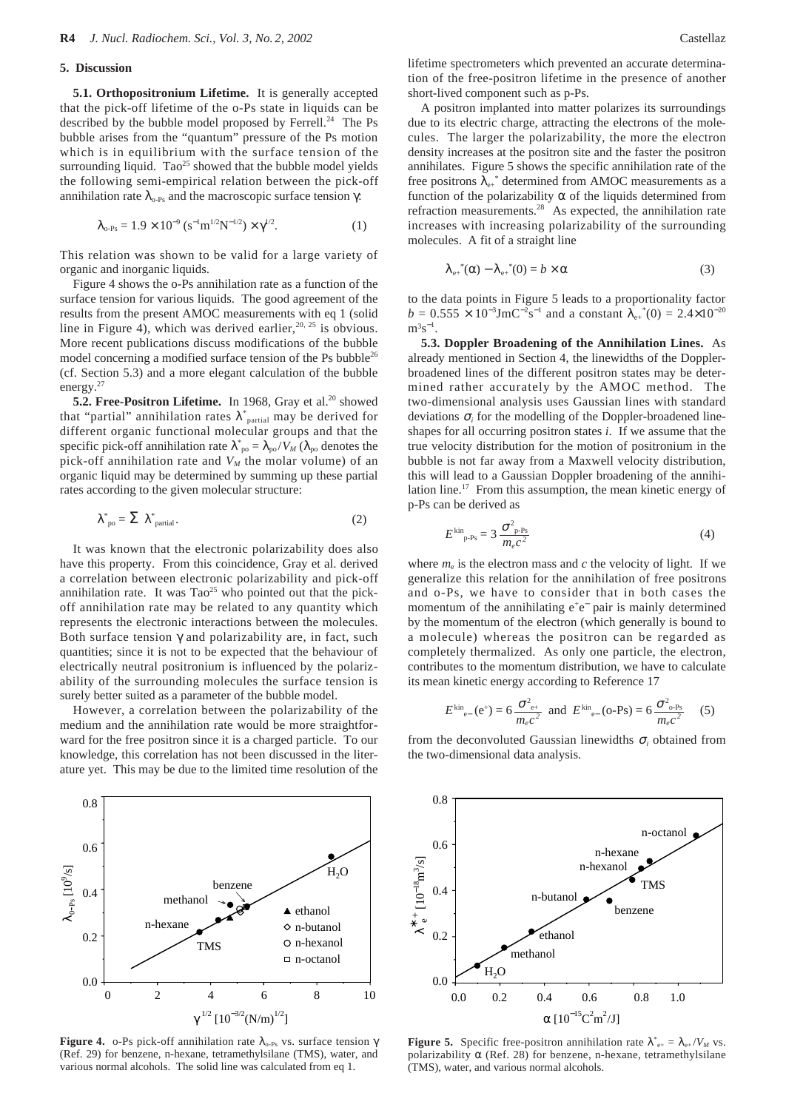#### **5. Discussion**

**5.1. Orthopositronium Lifetime.** It is generally accepted that the pick-off lifetime of the o-Ps state in liquids can be described by the bubble model proposed by Ferrell.<sup>24</sup> The Ps bubble arises from the "quantum" pressure of the Ps motion which is in equilibrium with the surface tension of the surrounding liquid.  $Tao^{25}$  showed that the bubble model yields the following semi-empirical relation between the pick-off annihilation rate  $\lambda_{o-Ps}$  and the macroscopic surface tension  $\gamma$ :

$$
\lambda_{o\text{-Ps}} = 1.9 \times 10^{-9} \left( s^{-1} \text{m}^{1/2} \text{N}^{-1/2} \right) \times \gamma^{1/2}.
$$
 (1)

This relation was shown to be valid for a large variety of organic and inorganic liquids.

Figure 4 shows the o-Ps annihilation rate as a function of the surface tension for various liquids. The good agreement of the results from the present AMOC measurements with eq 1 (solid line in Figure 4), which was derived earlier,  $20, 25$  is obvious. More recent publications discuss modifications of the bubble model concerning a modified surface tension of the Ps bubble<sup>26</sup> (cf. Section 5.3) and a more elegant calculation of the bubble energy.<sup>27</sup>

**5.2. Free-Positron Lifetime.** In 1968, Gray et al.<sup>20</sup> showed that "partial" annihilation rates  $\lambda^*_{\text{partial}}$  may be derived for different organic functional molecular groups and that the specific pick-off annihilation rate  $\lambda_{\text{po}}^* = \lambda_{\text{po}} / V_M$  ( $\lambda_{\text{po}}$  denotes the pick-off annihilation rate and  $V_M$  the molar volume) of an organic liquid may be determined by summing up these partial rates according to the given molecular structure:

$$
\lambda^*_{\text{po}} = \sum \lambda^*_{\text{partial}}.
$$
 (2)

It was known that the electronic polarizability does also have this property. From this coincidence, Gray et al. derived a correlation between electronic polarizability and pick-off annihilation rate. It was  $Tao^{25}$  who pointed out that the pickoff annihilation rate may be related to any quantity which represents the electronic interactions between the molecules. Both surface tension  $\gamma$  and polarizability are, in fact, such quantities; since it is not to be expected that the behaviour of electrically neutral positronium is influenced by the polarizability of the surrounding molecules the surface tension is surely better suited as a parameter of the bubble model.

However, a correlation between the polarizability of the medium and the annihilation rate would be more straightforward for the free positron since it is a charged particle. To our knowledge, this correlation has not been discussed in the literature yet. This may be due to the limited time resolution of the



lifetime spectrometers which prevented an accurate determination of the free-positron lifetime in the presence of another short-lived component such as p-Ps.

A positron implanted into matter polarizes its surroundings due to its electric charge, attracting the electrons of the molecules. The larger the polarizability, the more the electron density increases at the positron site and the faster the positron annihilates. Figure 5 shows the specific annihilation rate of the free positrons  $\lambda_{e^+}$ <sup>\*</sup> determined from AMOC measurements as a function of the polarizability  $\alpha$  of the liquids determined from refraction measurements.<sup>28</sup> As expected, the annihilation rate increases with increasing polarizability of the surrounding molecules. A fit of a straight line

$$
\lambda_{e^+}^*(\alpha) - \lambda_{e^+}^*(0) = b \times \alpha \tag{3}
$$

to the data points in Figure 5 leads to a proportionality factor  $b = 0.555 \times 10^{-3} \text{J} \text{m} \text{C}^{-2} \text{s}^{-1}$  and a constant  $\lambda_{e^{+}}(0) = 2.4 \times 10^{-20}$  $m^3s^{-1}$ .

**5.3. Doppler Broadening of the Annihilation Lines.** As already mentioned in Section 4, the linewidths of the Dopplerbroadened lines of the different positron states may be determined rather accurately by the AMOC method. The two-dimensional analysis uses Gaussian lines with standard deviations  $\sigma_i$  for the modelling of the Doppler-broadened lineshapes for all occurring positron states *i*. If we assume that the true velocity distribution for the motion of positronium in the bubble is not far away from a Maxwell velocity distribution, this will lead to a Gaussian Doppler broadening of the annihilation line.17 From this assumption, the mean kinetic energy of p-Ps can be derived as

$$
E^{\rm kin}_{\rm p\text{-}Ps} = 3 \frac{\sigma_{\rm p\text{-}Ps}^2}{m_e c^2} \tag{4}
$$

where  $m_e$  is the electron mass and  $c$  the velocity of light. If we generalize this relation for the annihilation of free positrons and o-Ps, we have to consider that in both cases the momentum of the annihilating e<sup>+</sup>e<sup>−</sup> pair is mainly determined by the momentum of the electron (which generally is bound to a molecule) whereas the positron can be regarded as completely thermalized. As only one particle, the electron, contributes to the momentum distribution, we have to calculate its mean kinetic energy according to Reference 17

$$
E^{\text{kin}}_{e-}(e^+) = 6 \frac{\sigma_{e^+}^2}{m_e c^2}
$$
 and  $E^{\text{kin}}_{e-}(o-Ps) = 6 \frac{\sigma_{o-Ps}^2}{m_e c^2}$  (5)

from the deconvoluted Gaussian linewidths <sup>σ</sup>*<sup>i</sup>* obtained from the two-dimensional data analysis.



**Figure 5.** Specific free-positron annihilation rate  $\lambda^*_{e^+} = \lambda_{e^+}/V_M$  vs. polarizability  $\alpha$  (Ref. 28) for benzene, n-hexane, tetramethylsilane (TMS), water, and various normal alcohols.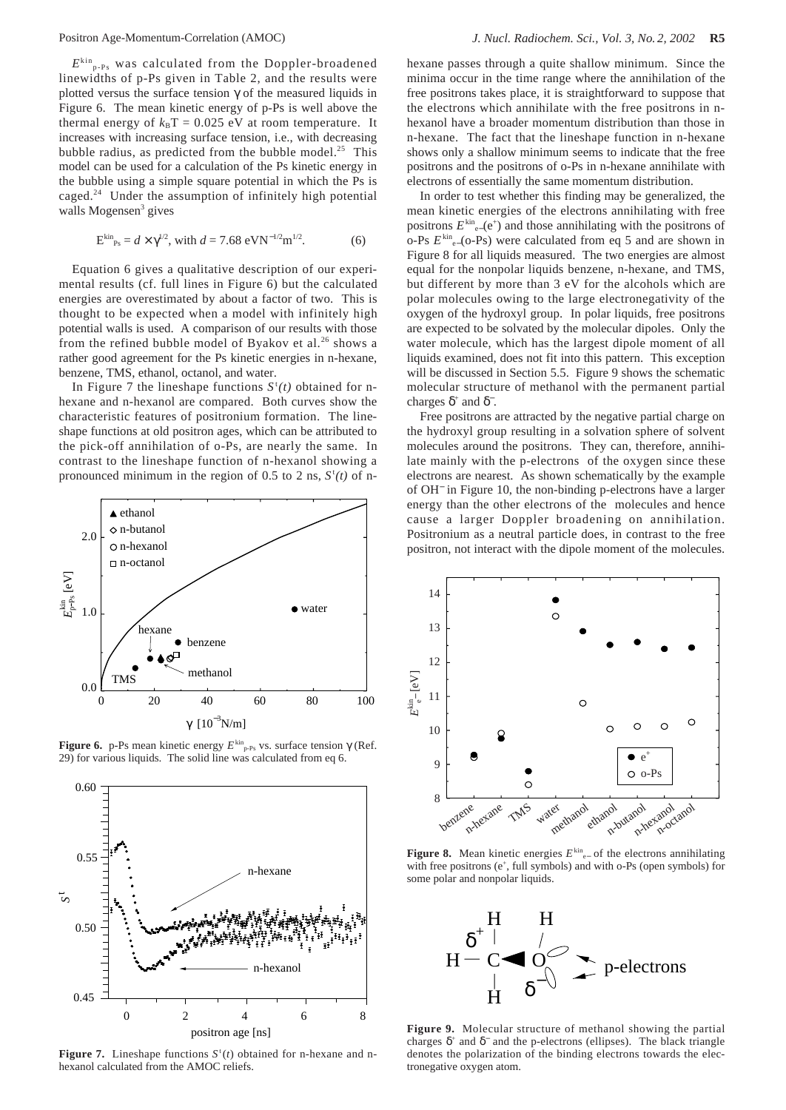$E^{kin}$ <sub>p-Ps</sub> was calculated from the Doppler-broadened linewidths of p-Ps given in Table 2, and the results were plotted versus the surface tension  $\gamma$  of the measured liquids in Figure 6. The mean kinetic energy of p-Ps is well above the thermal energy of  $k_B T = 0.025$  eV at room temperature. It increases with increasing surface tension, i.e., with decreasing bubble radius, as predicted from the bubble model.<sup>25</sup> This model can be used for a calculation of the Ps kinetic energy in the bubble using a simple square potential in which the Ps is caged.<sup>24</sup> Under the assumption of infinitely high potential walls Mogensen<sup>3</sup> gives

$$
E_{\rm p_s}^{\rm kin} = d \times \gamma^{1/2}, \text{ with } d = 7.68 \text{ eVN}^{-1/2} \text{m}^{1/2}. \tag{6}
$$

Equation 6 gives a qualitative description of our experimental results (cf. full lines in Figure 6) but the calculated energies are overestimated by about a factor of two. This is thought to be expected when a model with infinitely high potential walls is used. A comparison of our results with those from the refined bubble model of Byakov et al.<sup>26</sup> shows a rather good agreement for the Ps kinetic energies in n-hexane, benzene, TMS, ethanol, octanol, and water.

In Figure 7 the lineshape functions  $S^{\dagger}(t)$  obtained for nhexane and n-hexanol are compared. Both curves show the characteristic features of positronium formation. The lineshape functions at old positron ages, which can be attributed to the pick-off annihilation of o-Ps, are nearly the same. In contrast to the lineshape function of n-hexanol showing a pronounced minimum in the region of 0.5 to 2 ns,  $S^t(t)$  of n-



**Figure 6.** p-Ps mean kinetic energy  $E^{\text{kin}}_{\text{p-Ps}}$  vs. surface tension γ (Ref. 29) for various liquids. The solid line was calculated from eq 6.  $\bullet$ 



**Figure 7.** Lineshape functions  $S^t(t)$  obtained for n-hexane and nhexanol calculated from the AMOC reliefs.

hexane passes through a quite shallow minimum. Since the minima occur in the time range where the annihilation of the free positrons takes place, it is straightforward to suppose that the electrons which annihilate with the free positrons in nhexanol have a broader momentum distribution than those in n-hexane. The fact that the lineshape function in n-hexane shows only a shallow minimum seems to indicate that the free positrons and the positrons of o-Ps in n-hexane annihilate with electrons of essentially the same momentum distribution.

In order to test whether this finding may be generalized, the mean kinetic energies of the electrons annihilating with free positrons  $E^{\text{kin}}_{e-}(e^+)$  and those annihilating with the positrons of o-Ps  $E^{\text{kin}}$ <sub>e−</sub>(o-Ps) were calculated from eq 5 and are shown in Figure 8 for all liquids measured. The two energies are almost equal for the nonpolar liquids benzene, n-hexane, and TMS, but different by more than 3 eV for the alcohols which are polar molecules owing to the large electronegativity of the oxygen of the hydroxyl group. In polar liquids, free positrons are expected to be solvated by the molecular dipoles. Only the water molecule, which has the largest dipole moment of all liquids examined, does not fit into this pattern. This exception will be discussed in Section 5.5. Figure 9 shows the schematic molecular structure of methanol with the permanent partial charges  $\delta^+$  and  $\delta^-$ .

Free positrons are attracted by the negative partial charge on the hydroxyl group resulting in a solvation sphere of solvent molecules around the positrons. They can, therefore, annihilate mainly with the p-electrons of the oxygen since these electrons are nearest. As shown schematically by the example of OH<sup>−</sup> in Figure 10, the non-binding p-electrons have a larger energy than the other electrons of the molecules and hence cause a larger Doppler broadening on annihilation. Positronium as a neutral particle does, in contrast to the free positron, not interact with the dipole moment of the molecules.



**Figure 8.** Mean kinetic energies  $E^{\text{kin}}_{e−}$  of the electrons annihilating with free positrons (e<sup>+</sup>, full symbols) and with o-Ps (open symbols) for some polar and nonpolar liquids.



**Figure 9.** Molecular structure of methanol showing the partial charges  $\delta^+$  and  $\delta^-$  and the p-electrons (ellipses). The black triangle denotes the polarization of the binding electrons towards the electronegative oxygen atom.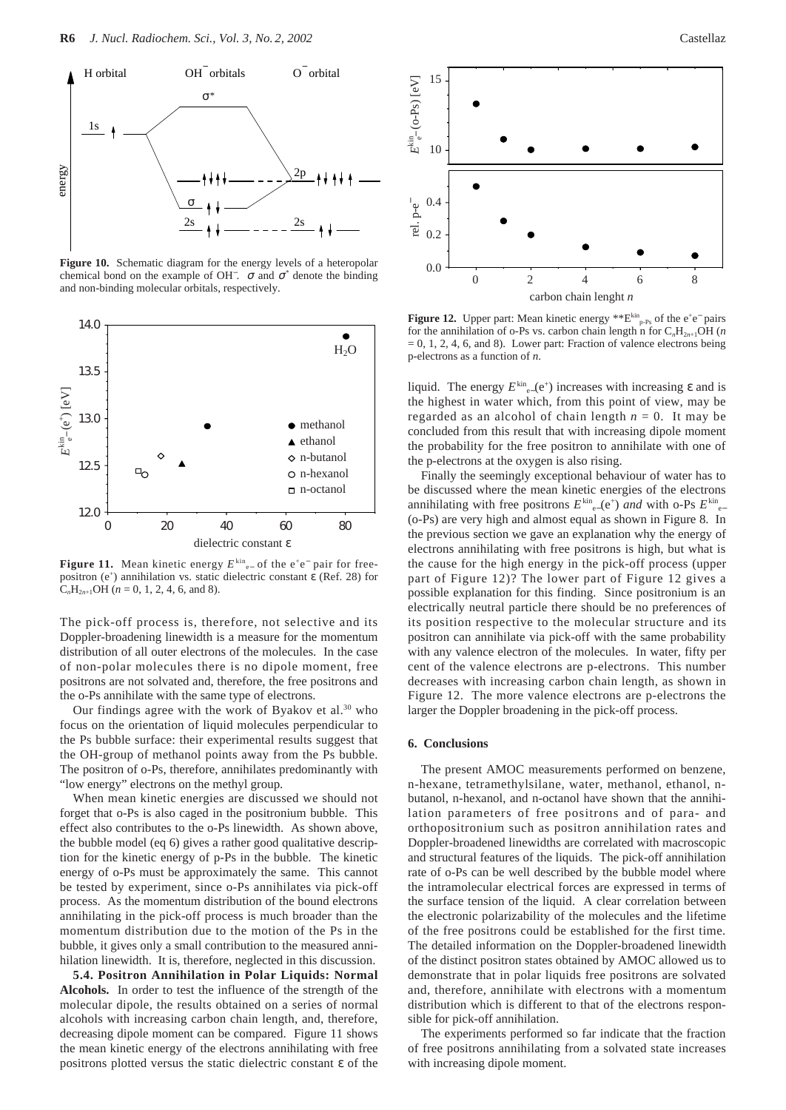

**Figure 10.** Schematic diagram for the energy levels of a heteropolar chemical bond on the example of OH  $\bar{C}$ .  $\sigma$  and  $\sigma^*$  denote the binding and non-binding molecular orbitals, respectively.



**Figure 11.** Mean kinetic energy  $E^{\text{kin}}_{e^-}$  of the e<sup>+</sup>e<sup>−</sup> pair for freepositron ( $e^+$ ) annihilation vs. static dielectric constant  $\varepsilon$  (Ref. 28) for  $C<sub>n</sub>H<sub>2n+1</sub>OH$  (*n* = 0, 1, 2, 4, 6, and 8).

The pick-off process is, therefore, not selective and its Doppler-broadening linewidth is a measure for the momentum distribution of all outer electrons of the molecules. In the case of non-polar molecules there is no dipole moment, free positrons are not solvated and, therefore, the free positrons and the o-Ps annihilate with the same type of electrons.

Our findings agree with the work of Byakov et al. $30$  who focus on the orientation of liquid molecules perpendicular to the Ps bubble surface: their experimental results suggest that the OH-group of methanol points away from the Ps bubble. The positron of o-Ps, therefore, annihilates predominantly with "low energy" electrons on the methyl group.

When mean kinetic energies are discussed we should not forget that o-Ps is also caged in the positronium bubble. This effect also contributes to the o-Ps linewidth. As shown above, the bubble model (eq 6) gives a rather good qualitative description for the kinetic energy of p-Ps in the bubble. The kinetic energy of o-Ps must be approximately the same. This cannot be tested by experiment, since o-Ps annihilates via pick-off process. As the momentum distribution of the bound electrons annihilating in the pick-off process is much broader than the momentum distribution due to the motion of the Ps in the bubble, it gives only a small contribution to the measured annihilation linewidth. It is, therefore, neglected in this discussion.

**5.4. Positron Annihilation in Polar Liquids: Normal Alcohols.** In order to test the influence of the strength of the molecular dipole, the results obtained on a series of normal alcohols with increasing carbon chain length, and, therefore, decreasing dipole moment can be compared. Figure 11 shows the mean kinetic energy of the electrons annihilating with free positrons plotted versus the static dielectric constant ε of the



**Figure 12.** Upper part: Mean kinetic energy \*\*E<sup>kin</sup><sub>p-Ps</sub> of the e<sup>+</sup>e<sup>−</sup> pairs for the annihilation of o-Ps vs. carbon chain length n for  $C_nH_{2n+1}OH$  (*n*  $= 0, 1, 2, 4, 6,$  and 8). Lower part: Fraction of valence electrons being p-electrons as a function of *n*.

liquid. The energy  $E^{\text{kin}}_{e-}(e^+)$  increases with increasing  $\varepsilon$  and is the highest in water which, from this point of view, may be regarded as an alcohol of chain length  $n = 0$ . It may be concluded from this result that with increasing dipole moment the probability for the free positron to annihilate with one of the p-electrons at the oxygen is also rising.

Finally the seemingly exceptional behaviour of water has to be discussed where the mean kinetic energies of the electrons annihilating with free positrons  $E^{\text{kin}}_{e^-}(e^+)$  *and* with o-Ps  $E^{\text{kin}}_{e^-}$ (o-Ps) are very high and almost equal as shown in Figure 8. In the previous section we gave an explanation why the energy of electrons annihilating with free positrons is high, but what is the cause for the high energy in the pick-off process (upper part of Figure 12)? The lower part of Figure 12 gives a possible explanation for this finding. Since positronium is an electrically neutral particle there should be no preferences of its position respective to the molecular structure and its positron can annihilate via pick-off with the same probability with any valence electron of the molecules. In water, fifty per cent of the valence electrons are p-electrons. This number decreases with increasing carbon chain length, as shown in Figure 12. The more valence electrons are p-electrons the larger the Doppler broadening in the pick-off process.

#### **6. Conclusions**

The present AMOC measurements performed on benzene, n-hexane, tetramethylsilane, water, methanol, ethanol, nbutanol, n-hexanol, and n-octanol have shown that the annihilation parameters of free positrons and of para- and orthopositronium such as positron annihilation rates and Doppler-broadened linewidths are correlated with macroscopic and structural features of the liquids. The pick-off annihilation rate of o-Ps can be well described by the bubble model where the intramolecular electrical forces are expressed in terms of the surface tension of the liquid. A clear correlation between the electronic polarizability of the molecules and the lifetime of the free positrons could be established for the first time. The detailed information on the Doppler-broadened linewidth of the distinct positron states obtained by AMOC allowed us to demonstrate that in polar liquids free positrons are solvated and, therefore, annihilate with electrons with a momentum distribution which is different to that of the electrons responsible for pick-off annihilation.

The experiments performed so far indicate that the fraction of free positrons annihilating from a solvated state increases with increasing dipole moment.